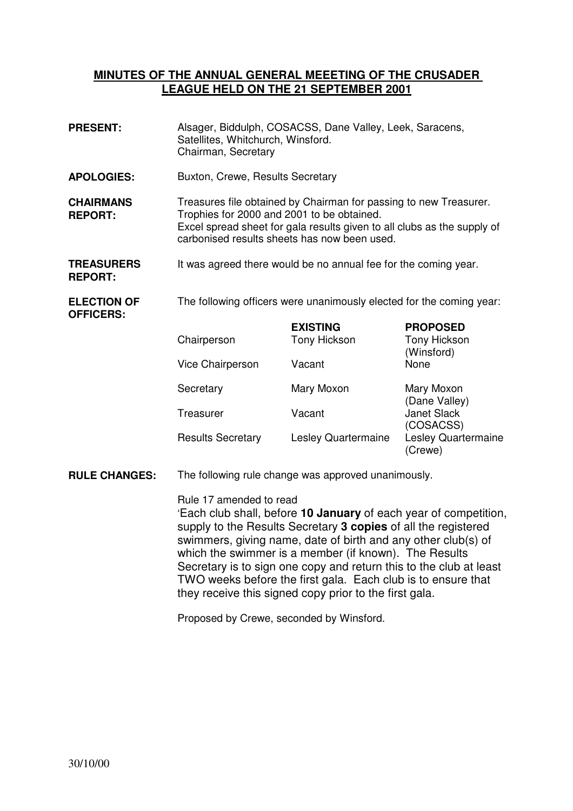## **MINUTES OF THE ANNUAL GENERAL MEEETING OF THE CRUSADER LEAGUE HELD ON THE 21 SEPTEMBER 2001**

**PRESENT:** Alsager, Biddulph, COSACSS, Dane Valley, Leek, Saracens, Satellites, Whitchurch, Winsford. Chairman, Secretary **APOLOGIES:** Buxton, Crewe, Results Secretary **CHAIRMANS REPORT:** Treasures file obtained by Chairman for passing to new Treasurer. Trophies for 2000 and 2001 to be obtained. Excel spread sheet for gala results given to all clubs as the supply of carbonised results sheets has now been used. **TREASURERS REPORT:**  It was agreed there would be no annual fee for the coming year. **ELECTION OF OFFICERS:**  The following officers were unanimously elected for the coming year: **EXISTING PROPOSED**  Chairperson Tony Hickson Tony Hickson (Winsford) Vice Chairperson Vacant None Secretary Mary Moxon Mary Moxon (Dane Valley) Treasurer Vacant Janet Slack (COSACSS) Results Secretary Lesley Quartermaine Lesley Quartermaine (Crewe) **RULE CHANGES:** The following rule change was approved unanimously. Rule 17 amended to read 'Each club shall, before **10 January** of each year of competition, supply to the Results Secretary **3 copies** of all the registered swimmers, giving name, date of birth and any other club(s) of which the swimmer is a member (if known). The Results

Secretary is to sign one copy and return this to the club at least TWO weeks before the first gala. Each club is to ensure that they receive this signed copy prior to the first gala.

Proposed by Crewe, seconded by Winsford.